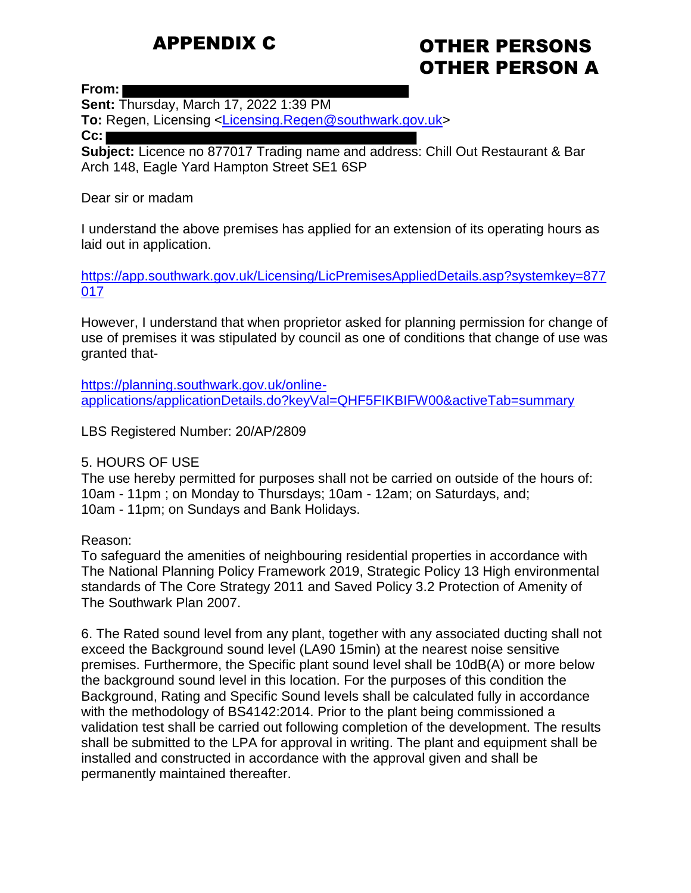# APPENDIX C

# OTHER PERSONS OTHER PERSON A

**From:**

**Sent:** Thursday, March 17, 2022 1:39 PM **To:** Regen, Licensing [<Licensing.Regen@southwark.gov.uk>](mailto:Licensing.Regen@southwark.gov.uk) **Cc:**

**Subject:** Licence no 877017 Trading name and address: Chill Out Restaurant & Bar Arch 148, Eagle Yard Hampton Street SE1 6SP

#### Dear sir or madam

I understand the above premises has applied for an extension of its operating hours as laid out in application.

[https://app.southwark.gov.uk/Licensing/LicPremisesAppliedDetails.asp?systemkey=877](https://app.southwark.gov.uk/Licensing/LicPremisesAppliedDetails.asp?systemkey=877017) [017](https://app.southwark.gov.uk/Licensing/LicPremisesAppliedDetails.asp?systemkey=877017)

However, I understand that when proprietor asked for planning permission for change of use of premises it was stipulated by council as one of conditions that change of use was granted that-

[https://planning.southwark.gov.uk/online](https://planning.southwark.gov.uk/online-applications/applicationDetails.do?keyVal=QHF5FIKBIFW00&activeTab=summary)[applications/applicationDetails.do?keyVal=QHF5FIKBIFW00&activeTab=summary](https://planning.southwark.gov.uk/online-applications/applicationDetails.do?keyVal=QHF5FIKBIFW00&activeTab=summary)

LBS Registered Number: 20/AP/2809

# 5. HOURS OF USE

The use hereby permitted for purposes shall not be carried on outside of the hours of: 10am - 11pm ; on Monday to Thursdays; 10am - 12am; on Saturdays, and; 10am - 11pm; on Sundays and Bank Holidays.

# Reason:

To safeguard the amenities of neighbouring residential properties in accordance with The National Planning Policy Framework 2019, Strategic Policy 13 High environmental standards of The Core Strategy 2011 and Saved Policy 3.2 Protection of Amenity of The Southwark Plan 2007.

6. The Rated sound level from any plant, together with any associated ducting shall not exceed the Background sound level (LA90 15min) at the nearest noise sensitive premises. Furthermore, the Specific plant sound level shall be 10dB(A) or more below the background sound level in this location. For the purposes of this condition the Background, Rating and Specific Sound levels shall be calculated fully in accordance with the methodology of BS4142:2014. Prior to the plant being commissioned a validation test shall be carried out following completion of the development. The results shall be submitted to the LPA for approval in writing. The plant and equipment shall be installed and constructed in accordance with the approval given and shall be permanently maintained thereafter.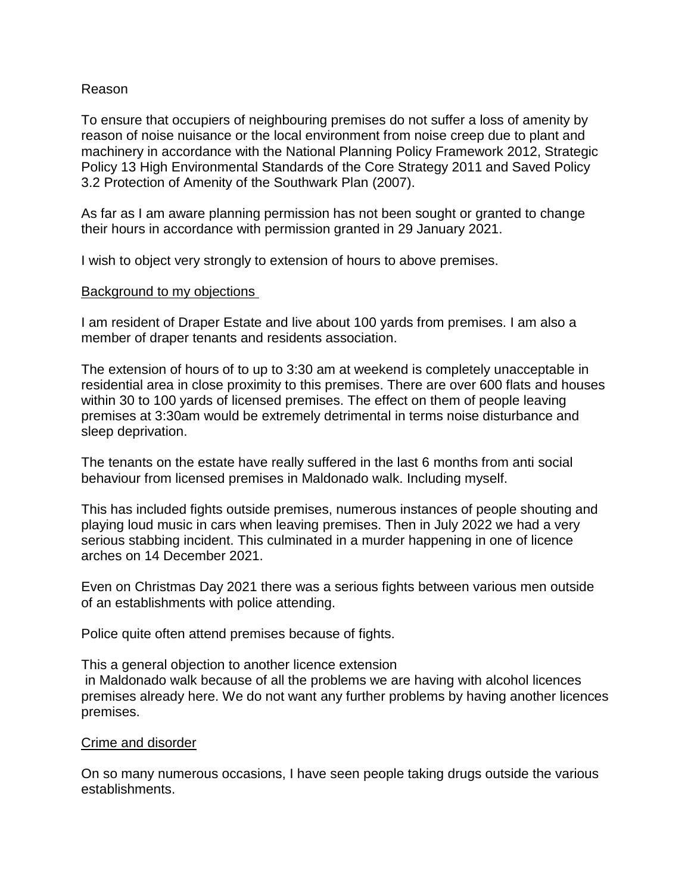### Reason

To ensure that occupiers of neighbouring premises do not suffer a loss of amenity by reason of noise nuisance or the local environment from noise creep due to plant and machinery in accordance with the National Planning Policy Framework 2012, Strategic Policy 13 High Environmental Standards of the Core Strategy 2011 and Saved Policy 3.2 Protection of Amenity of the Southwark Plan (2007).

As far as I am aware planning permission has not been sought or granted to change their hours in accordance with permission granted in 29 January 2021.

I wish to object very strongly to extension of hours to above premises.

#### Background to my objections

I am resident of Draper Estate and live about 100 yards from premises. I am also a member of draper tenants and residents association.

The extension of hours of to up to 3:30 am at weekend is completely unacceptable in residential area in close proximity to this premises. There are over 600 flats and houses within 30 to 100 yards of licensed premises. The effect on them of people leaving premises at 3:30am would be extremely detrimental in terms noise disturbance and sleep deprivation.

The tenants on the estate have really suffered in the last 6 months from anti social behaviour from licensed premises in Maldonado walk. Including myself.

This has included fights outside premises, numerous instances of people shouting and playing loud music in cars when leaving premises. Then in July 2022 we had a very serious stabbing incident. This culminated in a murder happening in one of licence arches on 14 December 2021.

Even on Christmas Day 2021 there was a serious fights between various men outside of an establishments with police attending.

Police quite often attend premises because of fights.

This a general objection to another licence extension in Maldonado walk because of all the problems we are having with alcohol licences premises already here. We do not want any further problems by having another licences premises.

#### Crime and disorder

On so many numerous occasions, I have seen people taking drugs outside the various establishments.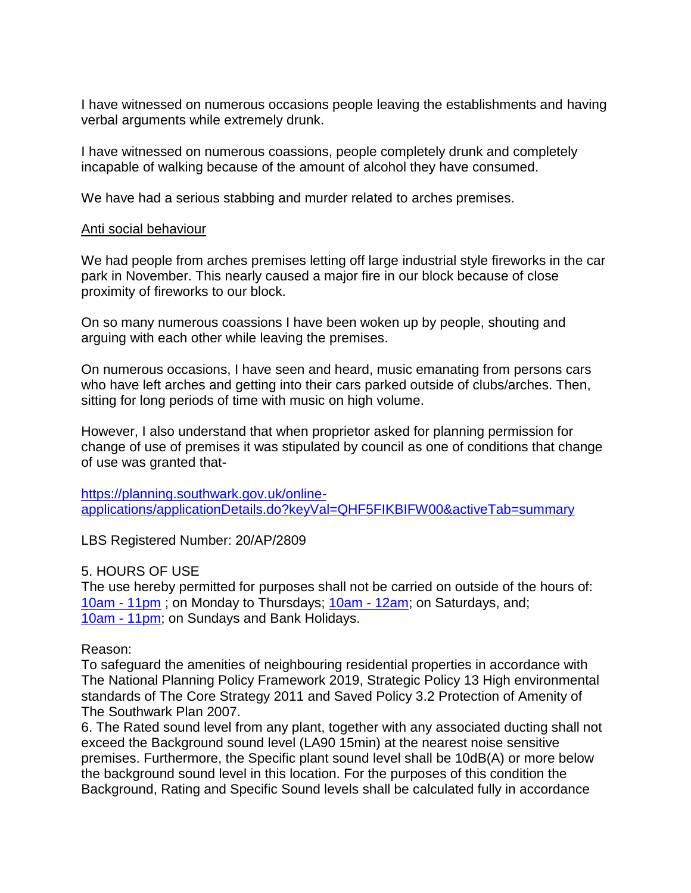I have witnessed on numerous occasions people leaving the establishments and having verbal arguments while extremely drunk.

I have witnessed on numerous coassions, people completely drunk and completely incapable of walking because of the amount of alcohol they have consumed.

We have had a serious stabbing and murder related to arches premises.

#### Anti social behaviour

We had people from arches premises letting off large industrial style fireworks in the car park in November. This nearly caused a major fire in our block because of close proximity of fireworks to our block.

On so many numerous coassions I have been woken up by people, shouting and arguing with each other while leaving the premises.

On numerous occasions, I have seen and heard, music emanating from persons cars who have left arches and getting into their cars parked outside of clubs/arches. Then, sitting for long periods of time with music on high volume.

However, I also understand that when proprietor asked for planning permission for change of use of premises it was stipulated by council as one of conditions that change of use was granted that-

[https://planning.southwark.gov.uk/online](https://planning.southwark.gov.uk/online-applications/applicationDetails.do?keyVal=QHF5FIKBIFW00&activeTab=summary)[applications/applicationDetails.do?keyVal=QHF5FIKBIFW00&activeTab=summary](https://planning.southwark.gov.uk/online-applications/applicationDetails.do?keyVal=QHF5FIKBIFW00&activeTab=summary)

LBS Registered Number: 20/AP/2809

# 5. HOURS OF USE

The use hereby permitted for purposes shall not be carried on outside of the hours of: [10am -](x-apple-data-detectors://2/) 11pm ; on Monday to Thursdays; [10am -](x-apple-data-detectors://4/) 12am; on Saturdays, and; [10am -](x-apple-data-detectors://5/) 11pm; on Sundays and Bank Holidays.

# Reason:

To safeguard the amenities of neighbouring residential properties in accordance with The National Planning Policy Framework 2019, Strategic Policy 13 High environmental standards of The Core Strategy 2011 and Saved Policy 3.2 Protection of Amenity of The Southwark Plan 2007.

6. The Rated sound level from any plant, together with any associated ducting shall not exceed the Background sound level (LA90 15min) at the nearest noise sensitive premises. Furthermore, the Specific plant sound level shall be 10dB(A) or more below the background sound level in this location. For the purposes of this condition the Background, Rating and Specific Sound levels shall be calculated fully in accordance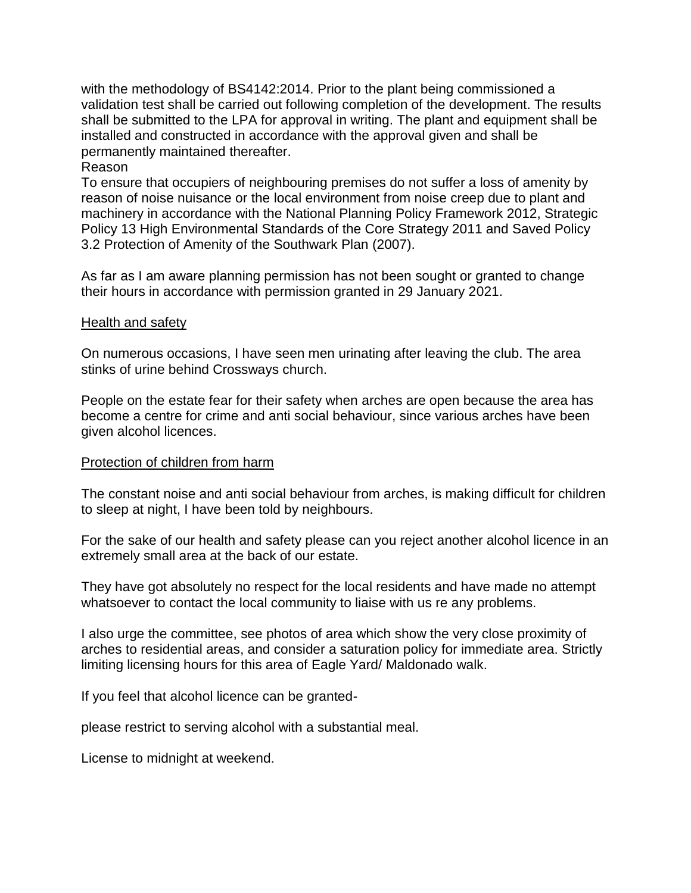with the methodology of BS4142:2014. Prior to the plant being commissioned a validation test shall be carried out following completion of the development. The results shall be submitted to the LPA for approval in writing. The plant and equipment shall be installed and constructed in accordance with the approval given and shall be permanently maintained thereafter.

### Reason

To ensure that occupiers of neighbouring premises do not suffer a loss of amenity by reason of noise nuisance or the local environment from noise creep due to plant and machinery in accordance with the National Planning Policy Framework 2012, Strategic Policy 13 High Environmental Standards of the Core Strategy 2011 and Saved Policy 3.2 Protection of Amenity of the Southwark Plan (2007).

As far as I am aware planning permission has not been sought or granted to change their hours in accordance with permission granted in 29 January 2021.

#### Health and safety

On numerous occasions, I have seen men urinating after leaving the club. The area stinks of urine behind Crossways church.

People on the estate fear for their safety when arches are open because the area has become a centre for crime and anti social behaviour, since various arches have been given alcohol licences.

# Protection of children from harm

The constant noise and anti social behaviour from arches, is making difficult for children to sleep at night, I have been told by neighbours.

For the sake of our health and safety please can you reject another alcohol licence in an extremely small area at the back of our estate.

They have got absolutely no respect for the local residents and have made no attempt whatsoever to contact the local community to liaise with us re any problems.

I also urge the committee, see photos of area which show the very close proximity of arches to residential areas, and consider a saturation policy for immediate area. Strictly limiting licensing hours for this area of Eagle Yard/ Maldonado walk.

If you feel that alcohol licence can be granted-

please restrict to serving alcohol with a substantial meal.

License to midnight at weekend.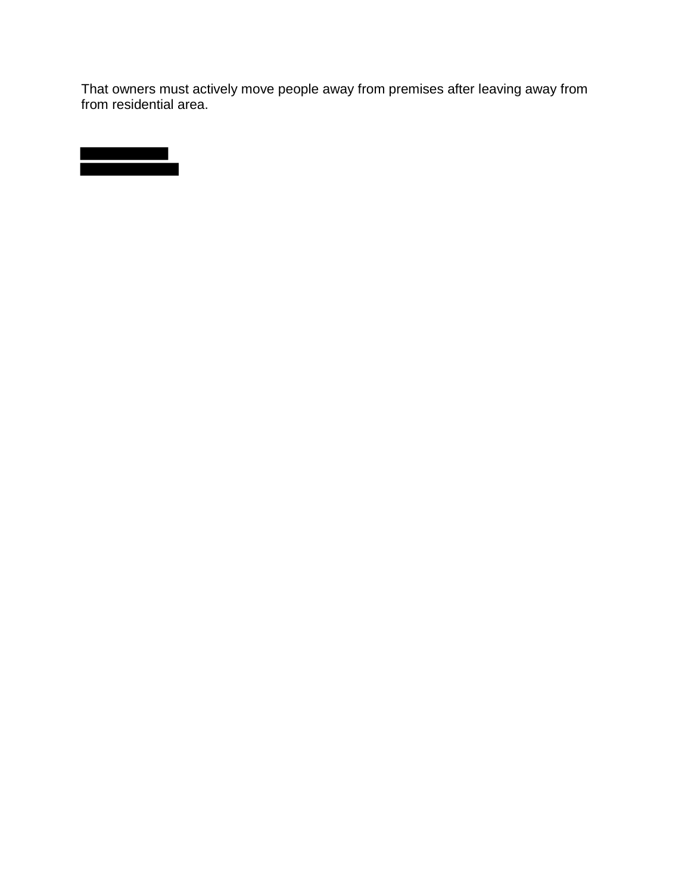That owners must actively move people away from premises after leaving away from from residential area.

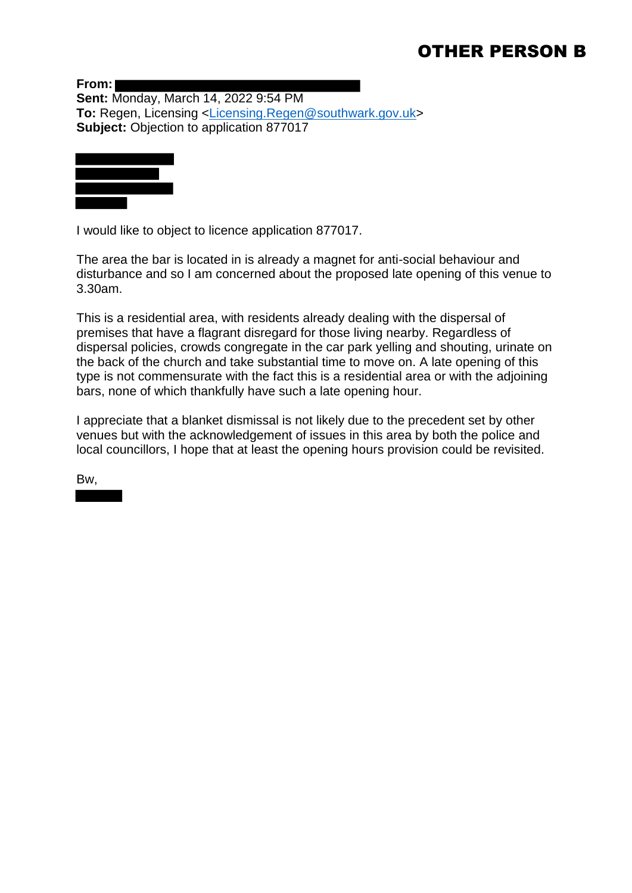# OTHER PERSON B

**From: Sent:** Monday, March 14, 2022 9:54 PM **To:** Regen, Licensing [<Licensing.Regen@southwark.gov.uk>](mailto:Licensing.Regen@southwark.gov.uk) **Subject:** Objection to application 877017



I would like to object to licence application 877017.

The area the bar is located in is already a magnet for anti-social behaviour and disturbance and so I am concerned about the proposed late opening of this venue to 3.30am.

This is a residential area, with residents already dealing with the dispersal of premises that have a flagrant disregard for those living nearby. Regardless of dispersal policies, crowds congregate in the car park yelling and shouting, urinate on the back of the church and take substantial time to move on. A late opening of this type is not commensurate with the fact this is a residential area or with the adjoining bars, none of which thankfully have such a late opening hour.

I appreciate that a blanket dismissal is not likely due to the precedent set by other venues but with the acknowledgement of issues in this area by both the police and local councillors, I hope that at least the opening hours provision could be revisited.

Bw,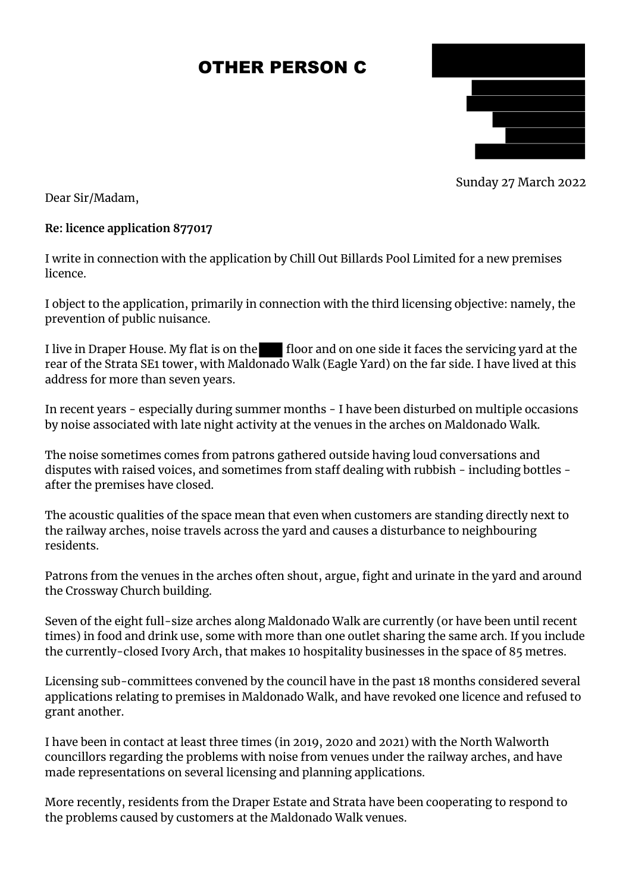# OTHER PERSON C



Sunday 27 March 2022

Dear Sir/Madam,

# **Re: licence application 877017**

I write in connection with the application by Chill Out Billards Pool Limited for a new premises licence.

I object to the application, primarily in connection with the third licensing objective: namely, the prevention of public nuisance.

I live in Draper House. My flat is on the floor and on one side it faces the servicing yard at the rear of the Strata SE1 tower, with Maldonado Walk (Eagle Yard) on the far side. I have lived at this address for more than seven years.

In recent years - especially during summer months - I have been disturbed on multiple occasions by noise associated with late night activity at the venues in the arches on Maldonado Walk.

The noise sometimes comes from patrons gathered outside having loud conversations and disputes with raised voices, and sometimes from staff dealing with rubbish - including bottles after the premises have closed.

The acoustic qualities of the space mean that even when customers are standing directly next to the railway arches, noise travels across the yard and causes a disturbance to neighbouring residents.

Patrons from the venues in the arches often shout, argue, fight and urinate in the yard and around the Crossway Church building.

Seven of the eight full-size arches along Maldonado Walk are currently (or have been until recent times) in food and drink use, some with more than one outlet sharing the same arch. If you include the currently-closed Ivory Arch, that makes 10 hospitality businesses in the space of 85 metres.

Licensing sub-committees convened by the council have in the past 18 months considered several applications relating to premises in Maldonado Walk, and have revoked one licence and refused to grant another.

I have been in contact at least three times (in 2019, 2020 and 2021) with the North Walworth councillors regarding the problems with noise from venues under the railway arches, and have made representations on several licensing and planning applications.

More recently, residents from the Draper Estate and Strata have been cooperating to respond to the problems caused by customers at the Maldonado Walk venues.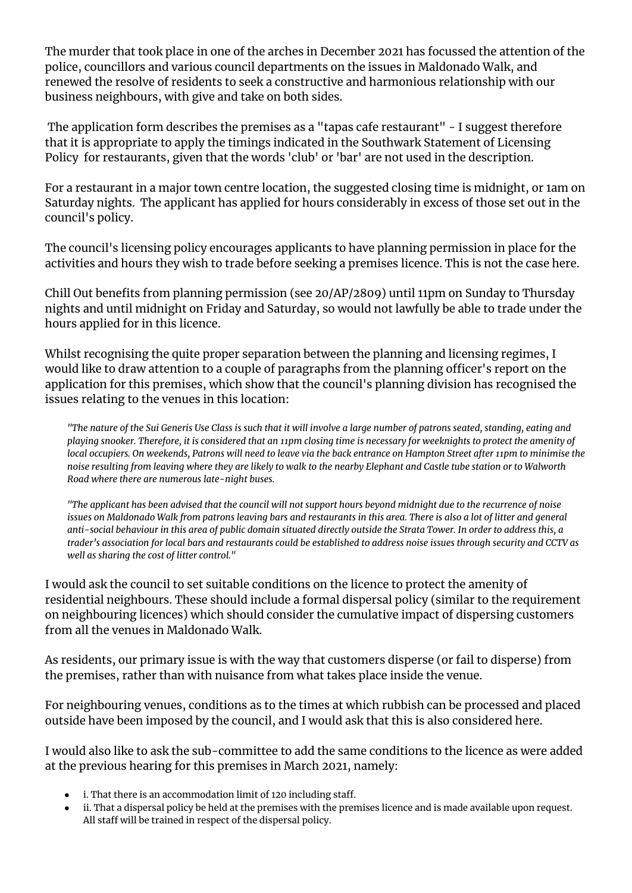The murder that took place in one of the arches in December 2021 has focussed the attention of the police, councillors and various council departments on the issues in Maldonado Walk, and renewed the resolve of residents to seek a constructive and harmonious relationship with our business neighbours, with give and take on both sides.

The application form describes the premises as a "tapas cafe restaurant" - I suggest therefore that it is appropriate to apply the timings indicated in the Southwark Statement of Licensing Policy for restaurants, given that the words 'club' or 'bar' are not used in the description.

For a restaurant in a major town centre location, the suggested closing time is midnight, or 1am on Saturday nights. The applicant has applied for hours considerably in excess of those set out in the council's policy.

The council's licensing policy encourages applicants to have planning permission in place for the activities and hours they wish to trade before seeking a premises licence. This is not the case here.

Chill Out benefits from planning permission (see 20/AP/2809) until 11pm on Sunday to Thursday nights and until midnight on Friday and Saturday, so would not lawfully be able to trade under the hours applied for in this licence.

Whilst recognising the quite proper separation between the planning and licensing regimes, I would like to draw attention to a couple of paragraphs from the planning officer's report on the application for this premises, which show that the council's planning division has recognised the issues relating to the venues in this location:

*"The nature of the Sui Generis Use Class is such that it will involve a large number of patrons seated, standing, eating and playing snooker. Therefore, it is considered that an 11pm closing time is necessary for weeknights to protect the amenity of local occupiers. On weekends, Patrons will need to leave via the back entrance on Hampton Street after 11pm to minimise the noise resulting from leaving where they are likely to walk to the nearby Elephant and Castle tube station or to Walworth Road where there are numerous late-night buses.*

*"The applicant has been advised that the council will not support hours beyond midnight due to the recurrence of noise issues on Maldonado Walk from patrons leaving bars and restaurants in this area. There is also a lot of litter and general anti-social behaviour in this area of public domain situated directly outside the Strata Tower. In order to address this, a trader's association for local bars and restaurants could be established to address noise issues through security and CCTV as well as sharing the cost of litter control."*

I would ask the council to set suitable conditions on the licence to protect the amenity of residential neighbours. These should include a formal dispersal policy (similar to the requirement on neighbouring licences) which should consider the cumulative impact of dispersing customers from all the venues in Maldonado Walk.

As residents, our primary issue is with the way that customers disperse (or fail to disperse) from the premises, rather than with nuisance from what takes place inside the venue.

For neighbouring venues, conditions as to the times at which rubbish can be processed and placed outside have been imposed by the council, and I would ask that this is also considered here.

I would also like to ask the sub-committee to add the same conditions to the licence as were added at the previous hearing for this premises in March 2021, namely:

- i. That there is an accommodation limit of 120 including staff.
- ii. That a dispersal policy be held at the premises with the premises licence and is made available upon request. All staff will be trained in respect of the dispersal policy.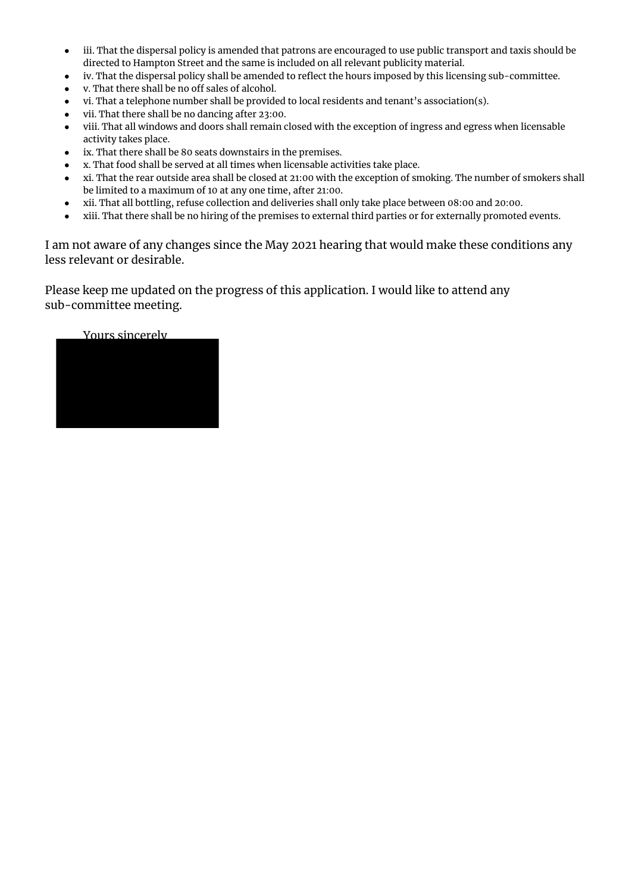- iii. That the dispersal policy is amended that patrons are encouraged to use public transport and taxis should be directed to Hampton Street and the same is included on all relevant publicity material.
- iv. That the dispersal policy shall be amended to reflect the hours imposed by this licensing sub-committee.
- v. That there shall be no off sales of alcohol.
- vi. That a telephone number shall be provided to local residents and tenant's association(s).
- vii. That there shall be no dancing after 23:00.
- viii. That all windows and doors shall remain closed with the exception of ingress and egress when licensable activity takes place.
- ix. That there shall be 80 seats downstairs in the premises.
- x. That food shall be served at all times when licensable activities take place.
- xi. That the rear outside area shall be closed at 21:00 with the exception of smoking. The number of smokers shall be limited to a maximum of 10 at any one time, after 21:00.
- xii. That all bottling, refuse collection and deliveries shall only take place between 08:00 and 20:00.
- xiii. That there shall be no hiring of the premises to external third parties or for externally promoted events.

I am not aware of any changes since the May 2021 hearing that would make these conditions any less relevant or desirable.

Please keep me updated on the progress of this application. I would like to attend any sub-committee meeting.

# Yours sincerely